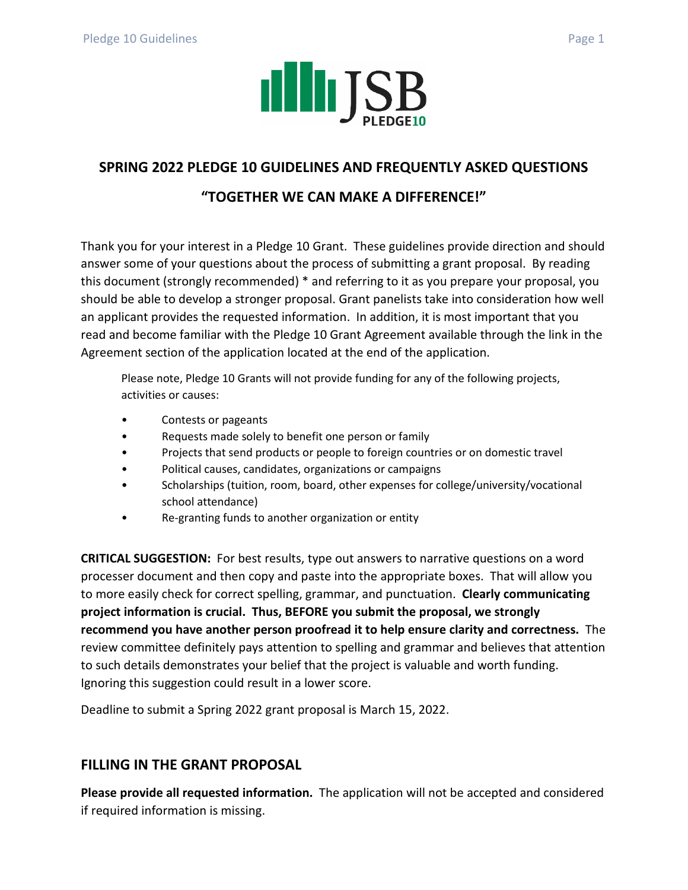

## **SPRING 2022 PLEDGE 10 GUIDELINES AND FREQUENTLY ASKED QUESTIONS**

## **"TOGETHER WE CAN MAKE A DIFFERENCE!"**

Thank you for your interest in a Pledge 10 Grant. These guidelines provide direction and should answer some of your questions about the process of submitting a grant proposal. By reading this document (strongly recommended) \* and referring to it as you prepare your proposal, you should be able to develop a stronger proposal. Grant panelists take into consideration how well an applicant provides the requested information. In addition, it is most important that you read and become familiar with the Pledge 10 Grant Agreement available through the link in the Agreement section of the application located at the end of the application.

Please note, Pledge 10 Grants will not provide funding for any of the following projects, activities or causes:

- Contests or pageants
- Requests made solely to benefit one person or family
- Projects that send products or people to foreign countries or on domestic travel
- Political causes, candidates, organizations or campaigns
- Scholarships (tuition, room, board, other expenses for college/university/vocational school attendance)
- Re-granting funds to another organization or entity

**CRITICAL SUGGESTION:** For best results, type out answers to narrative questions on a word processer document and then copy and paste into the appropriate boxes. That will allow you to more easily check for correct spelling, grammar, and punctuation. **Clearly communicating project information is crucial. Thus, BEFORE you submit the proposal, we strongly recommend you have another person proofread it to help ensure clarity and correctness.** The review committee definitely pays attention to spelling and grammar and believes that attention to such details demonstrates your belief that the project is valuable and worth funding. Ignoring this suggestion could result in a lower score.

Deadline to submit a Spring 2022 grant proposal is March 15, 2022.

## **FILLING IN THE GRANT PROPOSAL**

**Please provide all requested information.** The application will not be accepted and considered if required information is missing.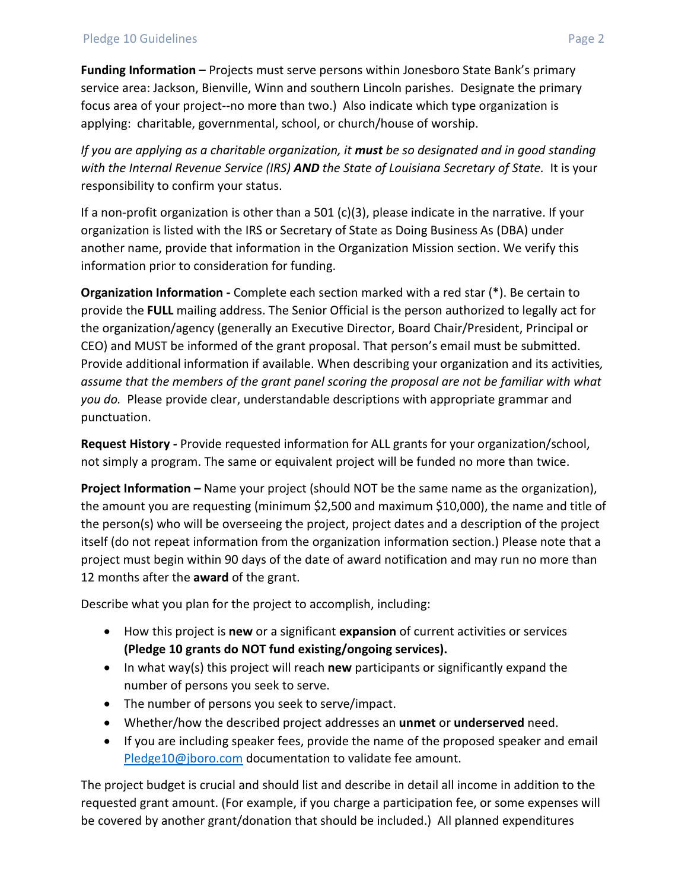**Funding Information –** Projects must serve persons within Jonesboro State Bank's primary service area: Jackson, Bienville, Winn and southern Lincoln parishes. Designate the primary focus area of your project--no more than two.) Also indicate which type organization is applying: charitable, governmental, school, or church/house of worship.

*If you are applying as a charitable organization, it must be so designated and in good standing with the Internal Revenue Service (IRS) AND the State of Louisiana Secretary of State.* It is your responsibility to confirm your status.

If a non-profit organization is other than a  $501$  (c)(3), please indicate in the narrative. If your organization is listed with the IRS or Secretary of State as Doing Business As (DBA) under another name, provide that information in the Organization Mission section. We verify this information prior to consideration for funding.

**Organization Information -** Complete each section marked with a red star (\*). Be certain to provide the **FULL** mailing address. The Senior Official is the person authorized to legally act for the organization/agency (generally an Executive Director, Board Chair/President, Principal or CEO) and MUST be informed of the grant proposal. That person's email must be submitted. Provide additional information if available. When describing your organization and its activities*, assume that the members of the grant panel scoring the proposal are not be familiar with what you do.* Please provide clear, understandable descriptions with appropriate grammar and punctuation.

**Request History -** Provide requested information for ALL grants for your organization/school, not simply a program. The same or equivalent project will be funded no more than twice.

**Project Information –** Name your project (should NOT be the same name as the organization), the amount you are requesting (minimum \$2,500 and maximum \$10,000), the name and title of the person(s) who will be overseeing the project, project dates and a description of the project itself (do not repeat information from the organization information section.) Please note that a project must begin within 90 days of the date of award notification and may run no more than 12 months after the **award** of the grant.

Describe what you plan for the project to accomplish, including:

- How this project is **new** or a significant **expansion** of current activities or services **(Pledge 10 grants do NOT fund existing/ongoing services).**
- In what way(s) this project will reach **new** participants or significantly expand the number of persons you seek to serve.
- The number of persons you seek to serve/impact.
- Whether/how the described project addresses an **unmet** or **underserved** need.
- If you are including speaker fees, provide the name of the proposed speaker and email [Pledge10@jboro.com](mailto:Pledge10@jboro.com) documentation to validate fee amount.

The project budget is crucial and should list and describe in detail all income in addition to the requested grant amount. (For example, if you charge a participation fee, or some expenses will be covered by another grant/donation that should be included.) All planned expenditures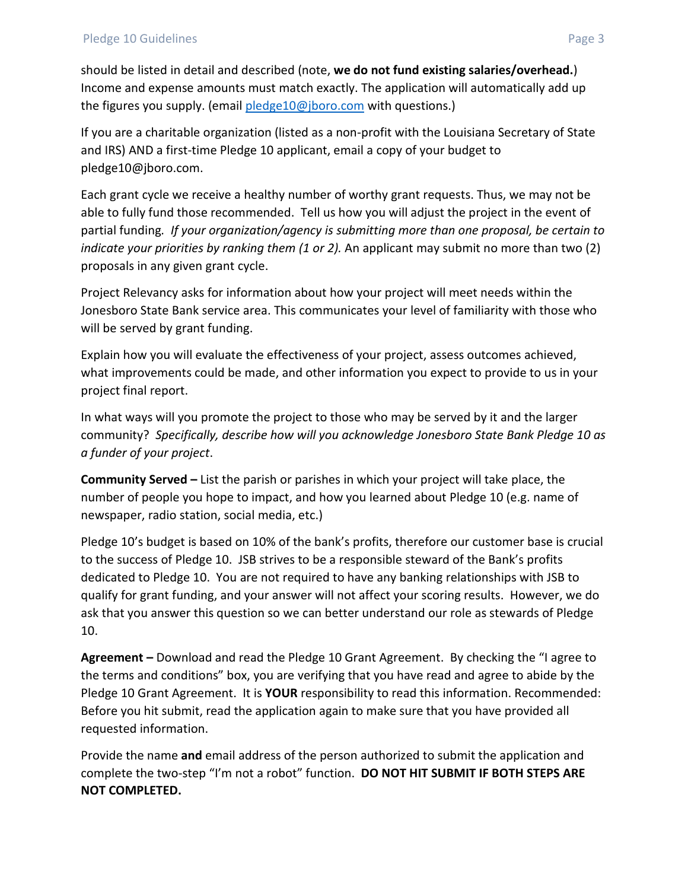should be listed in detail and described (note, **we do not fund existing salaries/overhead.**) Income and expense amounts must match exactly. The application will automatically add up the figures you supply. (email [pledge10@jboro.com](mailto:pledge10@jboro.com) with questions.)

If you are a charitable organization (listed as a non-profit with the Louisiana Secretary of State and IRS) AND a first-time Pledge 10 applicant, email a copy of your budget to pledge10@jboro.com.

Each grant cycle we receive a healthy number of worthy grant requests. Thus, we may not be able to fully fund those recommended. Tell us how you will adjust the project in the event of partial funding*. If your organization/agency is submitting more than one proposal, be certain to indicate your priorities by ranking them (1 or 2).* An applicant may submit no more than two (2) proposals in any given grant cycle.

Project Relevancy asks for information about how your project will meet needs within the Jonesboro State Bank service area. This communicates your level of familiarity with those who will be served by grant funding.

Explain how you will evaluate the effectiveness of your project, assess outcomes achieved, what improvements could be made, and other information you expect to provide to us in your project final report.

In what ways will you promote the project to those who may be served by it and the larger community? *Specifically, describe how will you acknowledge Jonesboro State Bank Pledge 10 as a funder of your project*.

**Community Served –** List the parish or parishes in which your project will take place, the number of people you hope to impact, and how you learned about Pledge 10 (e.g. name of newspaper, radio station, social media, etc.)

Pledge 10's budget is based on 10% of the bank's profits, therefore our customer base is crucial to the success of Pledge 10. JSB strives to be a responsible steward of the Bank's profits dedicated to Pledge 10. You are not required to have any banking relationships with JSB to qualify for grant funding, and your answer will not affect your scoring results. However, we do ask that you answer this question so we can better understand our role as stewards of Pledge 10.

**Agreement –** Download and read the Pledge 10 Grant Agreement. By checking the "I agree to the terms and conditions" box, you are verifying that you have read and agree to abide by the Pledge 10 Grant Agreement. It is **YOUR** responsibility to read this information. Recommended: Before you hit submit, read the application again to make sure that you have provided all requested information.

Provide the name **and** email address of the person authorized to submit the application and complete the two-step "I'm not a robot" function. **DO NOT HIT SUBMIT IF BOTH STEPS ARE NOT COMPLETED.**